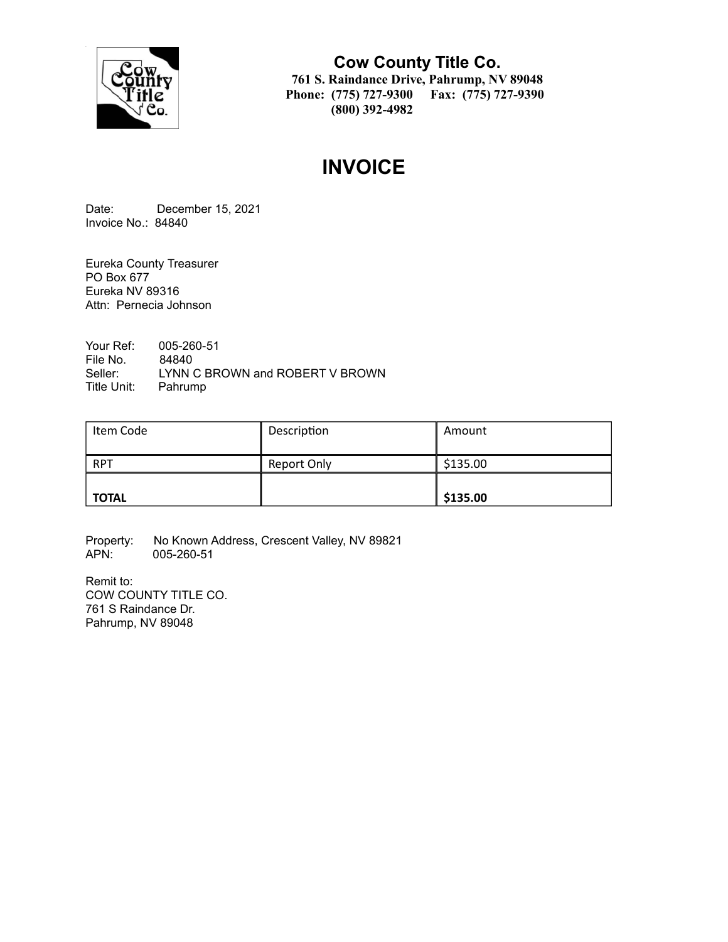

**Cow County Title Co. 761 S. Raindance Drive, Pahrump, NV 89048 Phone: (775) 727-9300 Fax: (775) 727-9390 (800) 392-4982**

# **INVOICE**

Date: December 15, 2021 Invoice No.: 84840

Eureka County Treasurer PO Box 677 Eureka NV 89316 Attn: Pernecia Johnson

Your Ref: 005-260-51 File No. 84840<br>Seller: LYNN ( LYNN C BROWN and ROBERT V BROWN Title Unit: Pahrump

| Item Code    | Description | Amount   |
|--------------|-------------|----------|
| <b>RPT</b>   | Report Only | \$135.00 |
| <b>TOTAL</b> |             | \$135.00 |

Property: No Known Address, Crescent Valley, NV 89821<br>APN: 005-260-51 APN: 005-260-51

Remit to: COW COUNTY TITLE CO. 761 S Raindance Dr. Pahrump, NV 89048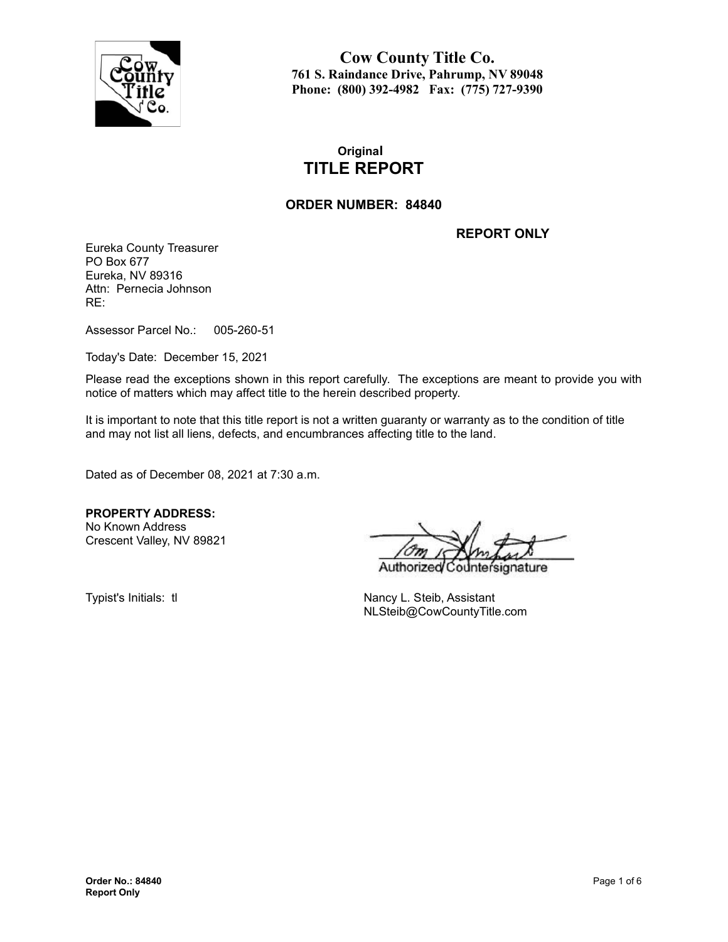

**Cow County Title Co. 761 S. Raindance Drive, Pahrump, NV 89048 Phone: (800) 392-4982 Fax: (775) 727-9390**

# **Original TITLE REPORT**

### **ORDER NUMBER: 84840**

**REPORT ONLY**

Eureka County Treasurer PO Box 677 Eureka, NV 89316 Attn: Pernecia Johnson RE:

Assessor Parcel No.: 005-260-51

Today's Date: December 15, 2021

Please read the exceptions shown in this report carefully. The exceptions are meant to provide you with notice of matters which may affect title to the herein described property.

It is important to note that this title report is not a written guaranty or warranty as to the condition of title and may not list all liens, defects, and encumbrances affecting title to the land.

Dated as of December 08, 2021 at 7:30 a.m.

**PROPERTY ADDRESS:** No Known Address

Crescent Valley, NV 89821

Authorize nature

Typist's Initials: tl Nancy L. Steib, Assistant NLSteib@CowCountyTitle.com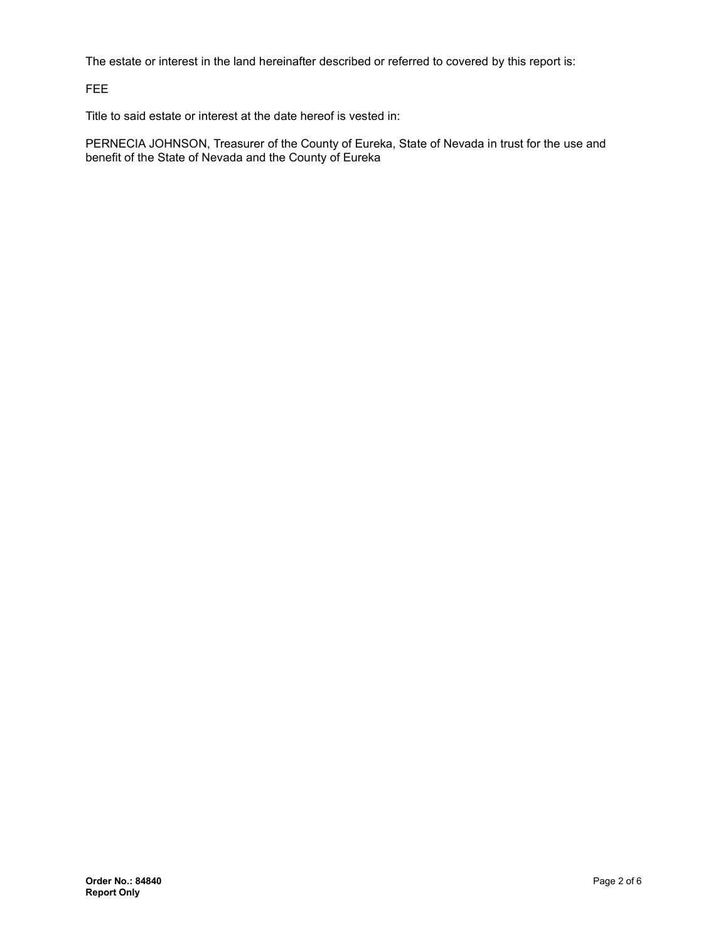The estate or interest in the land hereinafter described or referred to covered by this report is:

FEE

Title to said estate or interest at the date hereof is vested in:

PERNECIA JOHNSON, Treasurer of the County of Eureka, State of Nevada in trust for the use and benefit of the State of Nevada and the County of Eureka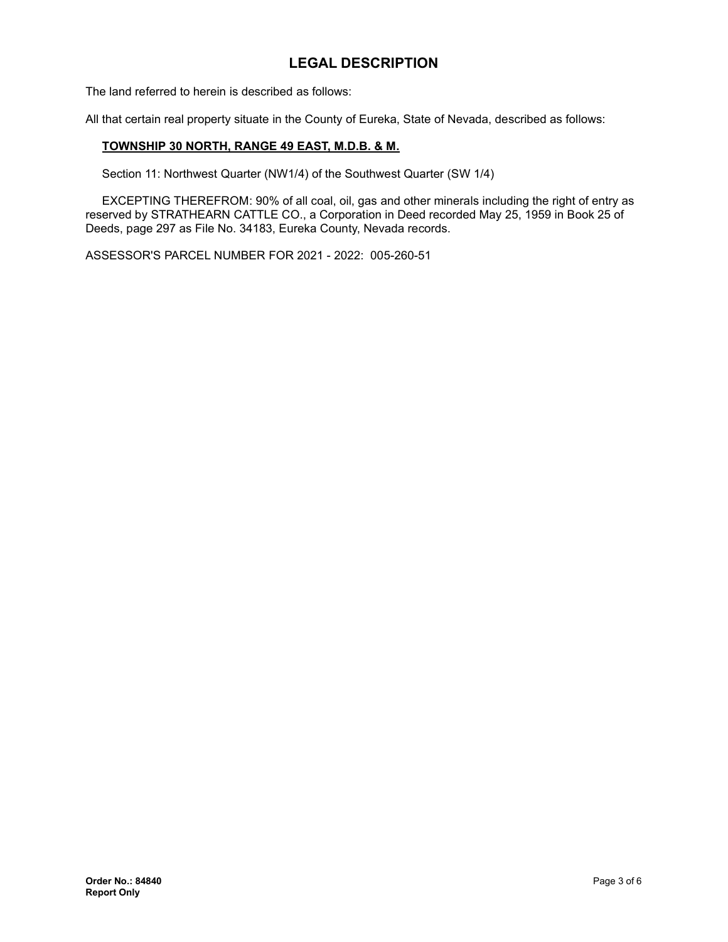# **LEGAL DESCRIPTION**

The land referred to herein is described as follows:

All that certain real property situate in the County of Eureka, State of Nevada, described as follows:

#### **TOWNSHIP 30 NORTH, RANGE 49 EAST, M.D.B. & M.**

Section 11: Northwest Quarter (NW1/4) of the Southwest Quarter (SW 1/4)

EXCEPTING THEREFROM: 90% of all coal, oil, gas and other minerals including the right of entry as reserved by STRATHEARN CATTLE CO., a Corporation in Deed recorded May 25, 1959 in Book 25 of Deeds, page 297 as File No. 34183, Eureka County, Nevada records.

ASSESSOR'S PARCEL NUMBER FOR 2021 - 2022: 005-260-51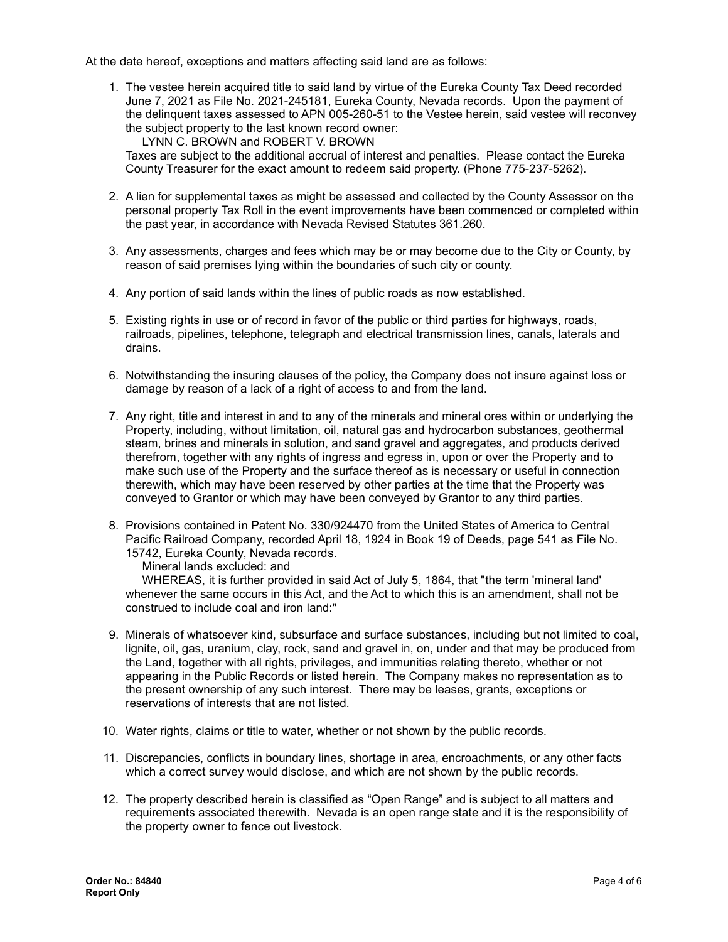At the date hereof, exceptions and matters affecting said land are as follows:

1. The vestee herein acquired title to said land by virtue of the Eureka County Tax Deed recorded June 7, 2021 as File No. 2021-245181, Eureka County, Nevada records. Upon the payment of the delinquent taxes assessed to APN 005-260-51 to the Vestee herein, said vestee will reconvey the subject property to the last known record owner:

LYNN C. BROWN and ROBERT V. BROWN

Taxes are subject to the additional accrual of interest and penalties. Please contact the Eureka County Treasurer for the exact amount to redeem said property. (Phone 775-237-5262).

- 2. A lien for supplemental taxes as might be assessed and collected by the County Assessor on the personal property Tax Roll in the event improvements have been commenced or completed within the past year, in accordance with Nevada Revised Statutes 361.260.
- 3. Any assessments, charges and fees which may be or may become due to the City or County, by reason of said premises lying within the boundaries of such city or county.
- 4. Any portion of said lands within the lines of public roads as now established.
- 5. Existing rights in use or of record in favor of the public or third parties for highways, roads, railroads, pipelines, telephone, telegraph and electrical transmission lines, canals, laterals and drains.
- 6. Notwithstanding the insuring clauses of the policy, the Company does not insure against loss or damage by reason of a lack of a right of access to and from the land.
- 7. Any right, title and interest in and to any of the minerals and mineral ores within or underlying the Property, including, without limitation, oil, natural gas and hydrocarbon substances, geothermal steam, brines and minerals in solution, and sand gravel and aggregates, and products derived therefrom, together with any rights of ingress and egress in, upon or over the Property and to make such use of the Property and the surface thereof as is necessary or useful in connection therewith, which may have been reserved by other parties at the time that the Property was conveyed to Grantor or which may have been conveyed by Grantor to any third parties.
- 8. Provisions contained in Patent No. 330/924470 from the United States of America to Central Pacific Railroad Company, recorded April 18, 1924 in Book 19 of Deeds, page 541 as File No. 15742, Eureka County, Nevada records.

Mineral lands excluded: and

WHEREAS, it is further provided in said Act of July 5, 1864, that "the term 'mineral land' whenever the same occurs in this Act, and the Act to which this is an amendment, shall not be construed to include coal and iron land:"

- 9. Minerals of whatsoever kind, subsurface and surface substances, including but not limited to coal, lignite, oil, gas, uranium, clay, rock, sand and gravel in, on, under and that may be produced from the Land, together with all rights, privileges, and immunities relating thereto, whether or not appearing in the Public Records or listed herein. The Company makes no representation as to the present ownership of any such interest. There may be leases, grants, exceptions or reservations of interests that are not listed.
- 10. Water rights, claims or title to water, whether or not shown by the public records.
- 11. Discrepancies, conflicts in boundary lines, shortage in area, encroachments, or any other facts which a correct survey would disclose, and which are not shown by the public records.
- 12. The property described herein is classified as "Open Range" and is subject to all matters and requirements associated therewith. Nevada is an open range state and it is the responsibility of the property owner to fence out livestock.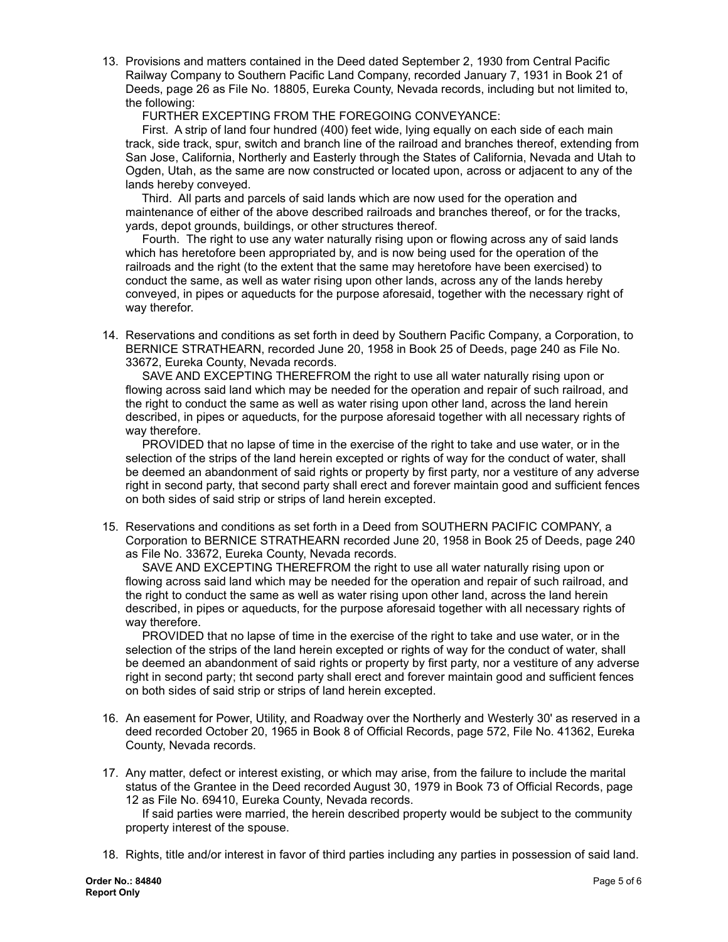13. Provisions and matters contained in the Deed dated September 2, 1930 from Central Pacific Railway Company to Southern Pacific Land Company, recorded January 7, 1931 in Book 21 of Deeds, page 26 as File No. 18805, Eureka County, Nevada records, including but not limited to, the following:

FURTHER EXCEPTING FROM THE FOREGOING CONVEYANCE:

First. A strip of land four hundred (400) feet wide, lying equally on each side of each main track, side track, spur, switch and branch line of the railroad and branches thereof, extending from San Jose, California, Northerly and Easterly through the States of California, Nevada and Utah to Ogden, Utah, as the same are now constructed or located upon, across or adjacent to any of the lands hereby conveyed.

Third. All parts and parcels of said lands which are now used for the operation and maintenance of either of the above described railroads and branches thereof, or for the tracks, yards, depot grounds, buildings, or other structures thereof.

Fourth. The right to use any water naturally rising upon or flowing across any of said lands which has heretofore been appropriated by, and is now being used for the operation of the railroads and the right (to the extent that the same may heretofore have been exercised) to conduct the same, as well as water rising upon other lands, across any of the lands hereby conveyed, in pipes or aqueducts for the purpose aforesaid, together with the necessary right of way therefor.

14. Reservations and conditions as set forth in deed by Southern Pacific Company, a Corporation, to BERNICE STRATHEARN, recorded June 20, 1958 in Book 25 of Deeds, page 240 as File No. 33672, Eureka County, Nevada records.

SAVE AND EXCEPTING THEREFROM the right to use all water naturally rising upon or flowing across said land which may be needed for the operation and repair of such railroad, and the right to conduct the same as well as water rising upon other land, across the land herein described, in pipes or aqueducts, for the purpose aforesaid together with all necessary rights of way therefore.

PROVIDED that no lapse of time in the exercise of the right to take and use water, or in the selection of the strips of the land herein excepted or rights of way for the conduct of water, shall be deemed an abandonment of said rights or property by first party, nor a vestiture of any adverse right in second party, that second party shall erect and forever maintain good and sufficient fences on both sides of said strip or strips of land herein excepted.

15. Reservations and conditions as set forth in a Deed from SOUTHERN PACIFIC COMPANY, a Corporation to BERNICE STRATHEARN recorded June 20, 1958 in Book 25 of Deeds, page 240 as File No. 33672, Eureka County, Nevada records.

SAVE AND EXCEPTING THEREFROM the right to use all water naturally rising upon or flowing across said land which may be needed for the operation and repair of such railroad, and the right to conduct the same as well as water rising upon other land, across the land herein described, in pipes or aqueducts, for the purpose aforesaid together with all necessary rights of way therefore.

PROVIDED that no lapse of time in the exercise of the right to take and use water, or in the selection of the strips of the land herein excepted or rights of way for the conduct of water, shall be deemed an abandonment of said rights or property by first party, nor a vestiture of any adverse right in second party; tht second party shall erect and forever maintain good and sufficient fences on both sides of said strip or strips of land herein excepted.

- 16. An easement for Power, Utility, and Roadway over the Northerly and Westerly 30' as reserved in a deed recorded October 20, 1965 in Book 8 of Official Records, page 572, File No. 41362, Eureka County, Nevada records.
- 17. Any matter, defect or interest existing, or which may arise, from the failure to include the marital status of the Grantee in the Deed recorded August 30, 1979 in Book 73 of Official Records, page 12 as File No. 69410, Eureka County, Nevada records.

If said parties were married, the herein described property would be subject to the community property interest of the spouse.

18. Rights, title and/or interest in favor of third parties including any parties in possession of said land.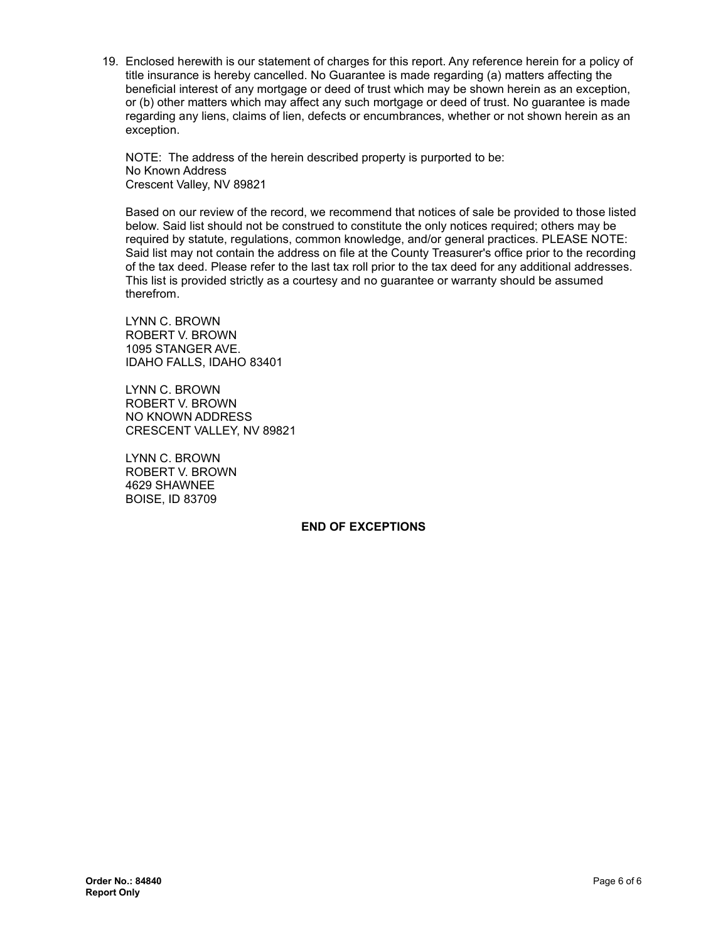19. Enclosed herewith is our statement of charges for this report. Any reference herein for a policy of title insurance is hereby cancelled. No Guarantee is made regarding (a) matters affecting the beneficial interest of any mortgage or deed of trust which may be shown herein as an exception, or (b) other matters which may affect any such mortgage or deed of trust. No guarantee is made regarding any liens, claims of lien, defects or encumbrances, whether or not shown herein as an exception.

NOTE: The address of the herein described property is purported to be: No Known Address Crescent Valley, NV 89821

Based on our review of the record, we recommend that notices of sale be provided to those listed below. Said list should not be construed to constitute the only notices required; others may be required by statute, regulations, common knowledge, and/or general practices. PLEASE NOTE: Said list may not contain the address on file at the County Treasurer's office prior to the recording of the tax deed. Please refer to the last tax roll prior to the tax deed for any additional addresses. This list is provided strictly as a courtesy and no guarantee or warranty should be assumed therefrom.

LYNN C. BROWN ROBERT V. BROWN 1095 STANGER AVE. IDAHO FALLS, IDAHO 83401

LYNN C. BROWN ROBERT V. BROWN NO KNOWN ADDRESS CRESCENT VALLEY, NV 89821

LYNN C. BROWN ROBERT V. BROWN 4629 SHAWNEE BOISE, ID 83709

#### **END OF EXCEPTIONS**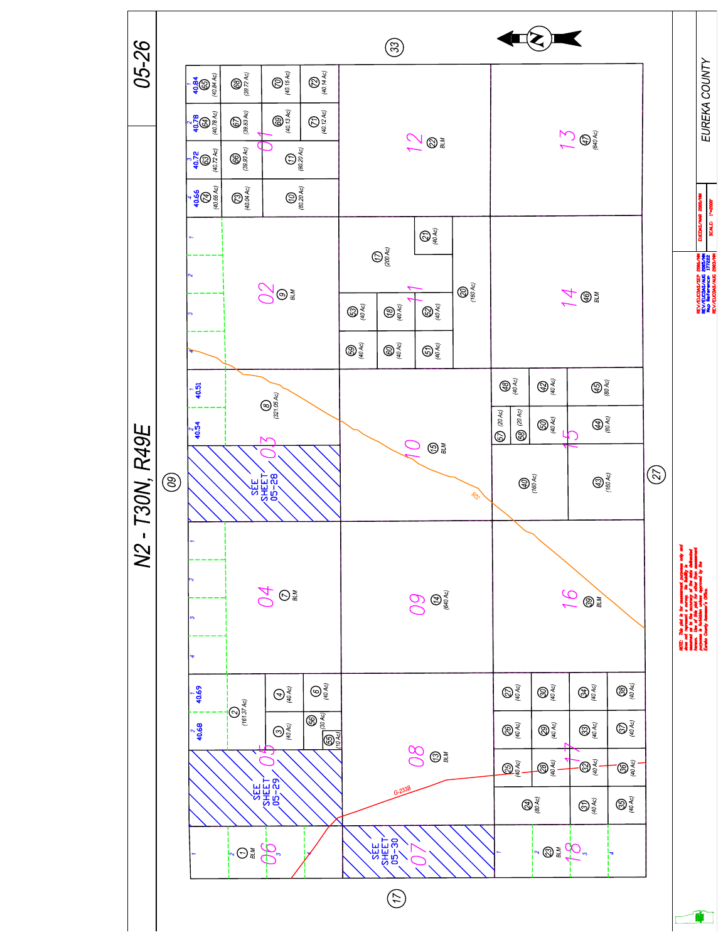